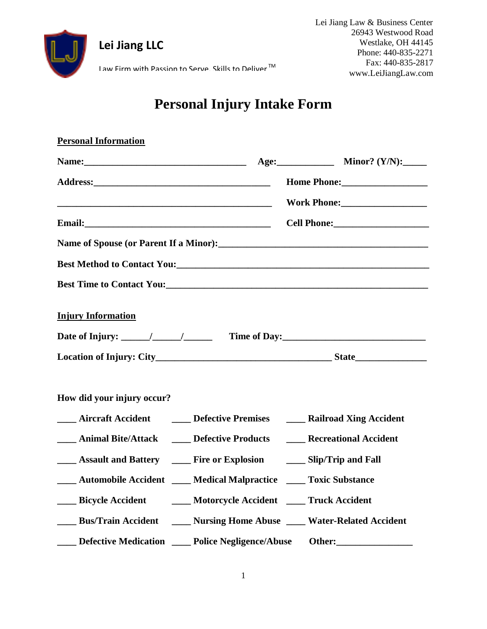

Lei Jiang Law & Business Center 26943 Westwood Road Westlake, OH 44145 Phone: 440-835-2271 Fax: 440-835-2817 www.LeiJiangLaw.com

Law Firm with Passion to Serve, Skills to Deliver  $^{\text{TM}}$ 

**Lei Jiang LLC**

## **Personal Injury Intake Form**

| <b>Personal Information</b>                                                                                     |  |
|-----------------------------------------------------------------------------------------------------------------|--|
|                                                                                                                 |  |
| Address: Manual Manual Manual Mome Phone: Mome Phone: Manual Manual Manual Manual Manual Manual Manual Manual M |  |
|                                                                                                                 |  |
|                                                                                                                 |  |
|                                                                                                                 |  |
|                                                                                                                 |  |
|                                                                                                                 |  |
| <b>Injury Information</b>                                                                                       |  |
| How did your injury occur?                                                                                      |  |
| <b>EXAMPLE A</b> Aircraft Accident <b>EXAMPLE A</b> Defective Premises <b>EXAMPLE A</b> Railroad Xing Accident  |  |
| <b>EXECUTE:</b> Animal Bite/Attack <b>EXECUTE:</b> Defective Products <b>EXECUTE:</b> Recreational Accident     |  |
| <b>EXPLOSION Assault and Battery COVEY Fire or Explosion COVEY Slip/Trip and Fall</b>                           |  |
| <b>Example 1 Automobile Accident [1876]</b> Medical Malpractice <b>[1876]</b> Toxic Substance                   |  |
| ___ Bicycle Accident _____ Motorcycle Accident ____ Truck Accident                                              |  |
| ____ Bus/Train Accident _____ Nursing Home Abuse ____ Water-Related Accident                                    |  |
| ____ Defective Medication ____ Police Negligence/Abuse Other:___________________                                |  |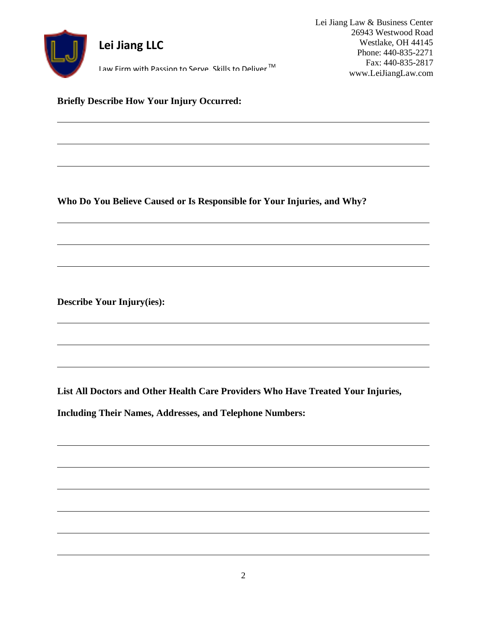

**Briefly Describe How Your Injury Occurred:**

**Who Do You Believe Caused or Is Responsible for Your Injuries, and Why?**

**Describe Your Injury(ies):**

**List All Doctors and Other Health Care Providers Who Have Treated Your Injuries,** 

**Including Their Names, Addresses, and Telephone Numbers:**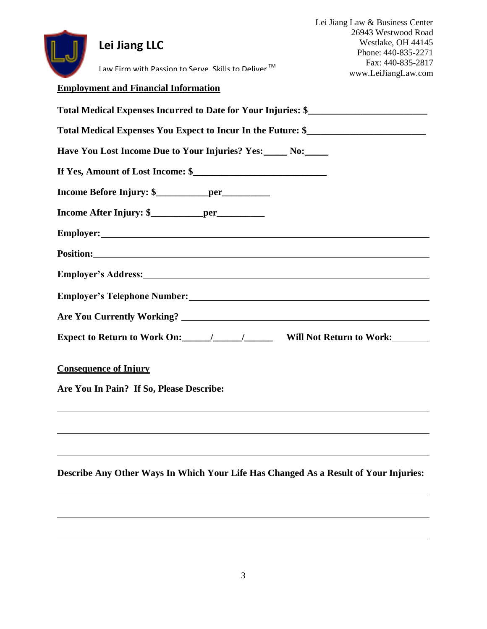| Lei Jiang LLC                                                                                                                                                                                                                  | Lei Jiang Law & Business Center<br>26943 Westwood Road<br>Westlake, OH 44145<br>Phone: 440-835-2271 |
|--------------------------------------------------------------------------------------------------------------------------------------------------------------------------------------------------------------------------------|-----------------------------------------------------------------------------------------------------|
| Law Firm with Passion to Serve. Skills to Deliver™                                                                                                                                                                             | Fax: 440-835-2817<br>www.LeiJiangLaw.com                                                            |
| <b>Employment and Financial Information</b>                                                                                                                                                                                    |                                                                                                     |
| Total Medical Expenses Incurred to Date for Your Injuries: \$                                                                                                                                                                  |                                                                                                     |
| Total Medical Expenses You Expect to Incur In the Future: \$______________________                                                                                                                                             |                                                                                                     |
| Have You Lost Income Due to Your Injuries? Yes: No:                                                                                                                                                                            |                                                                                                     |
|                                                                                                                                                                                                                                |                                                                                                     |
|                                                                                                                                                                                                                                |                                                                                                     |
|                                                                                                                                                                                                                                |                                                                                                     |
|                                                                                                                                                                                                                                |                                                                                                     |
|                                                                                                                                                                                                                                |                                                                                                     |
| Employer's Address: Universe of the Second Second Second Second Second Second Second Second Second Second Second Second Second Second Second Second Second Second Second Second Second Second Second Second Second Second Seco |                                                                                                     |
|                                                                                                                                                                                                                                |                                                                                                     |
|                                                                                                                                                                                                                                |                                                                                                     |
|                                                                                                                                                                                                                                |                                                                                                     |
| <b>Consequence of Injury</b>                                                                                                                                                                                                   |                                                                                                     |
| Are You In Pain? If So, Please Describe:                                                                                                                                                                                       |                                                                                                     |
|                                                                                                                                                                                                                                |                                                                                                     |
|                                                                                                                                                                                                                                |                                                                                                     |
|                                                                                                                                                                                                                                |                                                                                                     |
| Describe Any Other Ways In Which Your Life Has Changed As a Result of Your Injuries:                                                                                                                                           |                                                                                                     |
|                                                                                                                                                                                                                                |                                                                                                     |